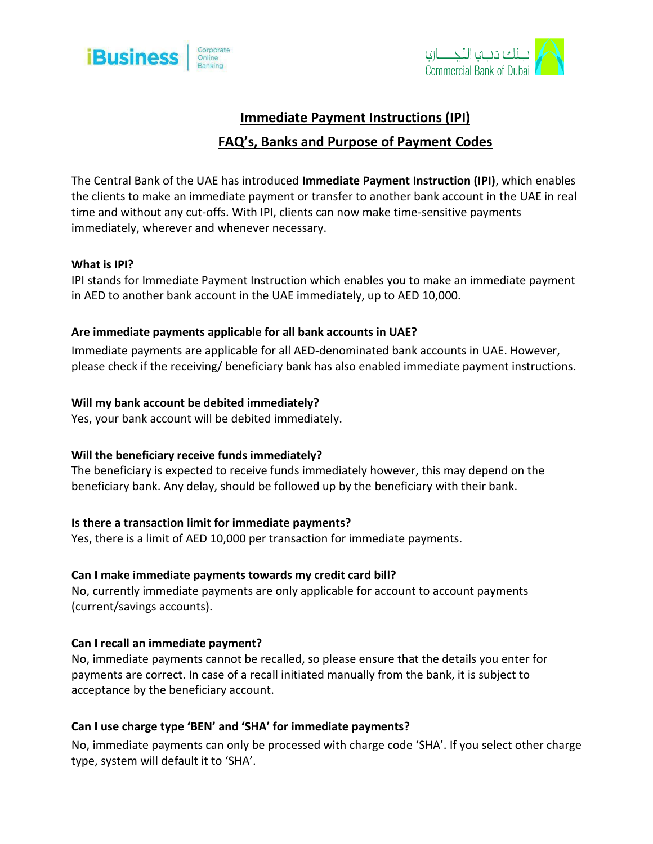



# **Immediate Payment Instructions (IPI)**

## **FAQ's, Banks and Purpose of Payment Codes**

The Central Bank of the UAE has introduced **Immediate Payment Instruction (IPI)**, which enables the clients to make an immediate payment or transfer to another bank account in the UAE in real time and without any cut-offs. With IPI, clients can now make time-sensitive payments immediately, wherever and whenever necessary.

## **What is IPI?**

IPI stands for Immediate Payment Instruction which enables you to make an immediate payment in AED to another bank account in the UAE immediately, up to AED 10,000.

#### **Are immediate payments applicable for all bank accounts in UAE?**

Immediate payments are applicable for all AED-denominated bank accounts in UAE. However, please check if the receiving/ beneficiary bank has also enabled immediate payment instructions.

#### **Will my bank account be debited immediately?**

Yes, your bank account will be debited immediately.

## **Will the beneficiary receive funds immediately?**

The beneficiary is expected to receive funds immediately however, this may depend on the beneficiary bank. Any delay, should be followed up by the beneficiary with their bank.

## **Is there a transaction limit for immediate payments?**

Yes, there is a limit of AED 10,000 per transaction for immediate payments.

#### **Can I make immediate payments towards my credit card bill?**

No, currently immediate payments are only applicable for account to account payments (current/savings accounts).

#### **Can I recall an immediate payment?**

No, immediate payments cannot be recalled, so please ensure that the details you enter for payments are correct. In case of a recall initiated manually from the bank, it is subject to acceptance by the beneficiary account.

## **Can I use charge type 'BEN' and 'SHA' for immediate payments?**

No, immediate payments can only be processed with charge code 'SHA'. If you select other charge type, system will default it to 'SHA'.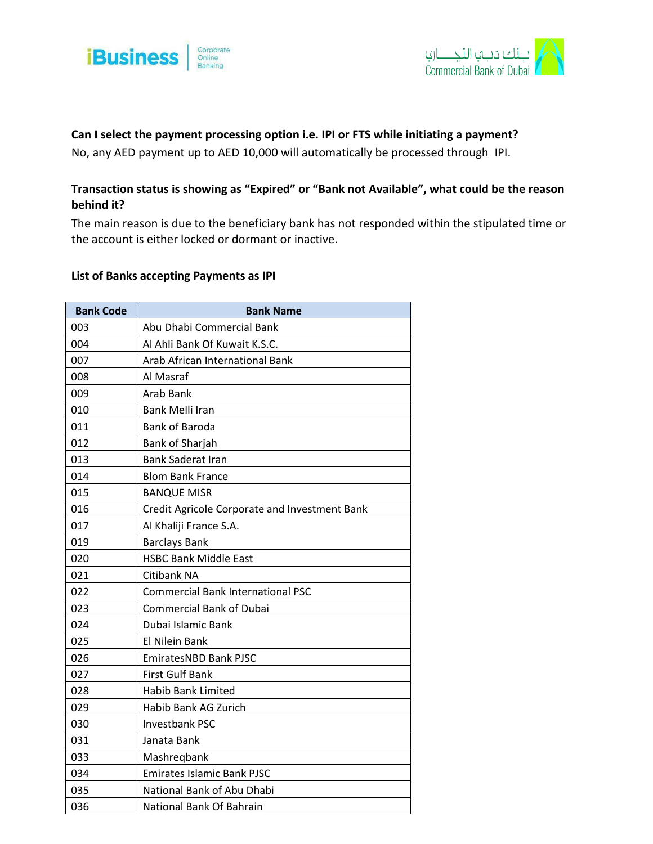



## **Can I select the payment processing option i.e. IPI or FTS while initiating a payment?**

No, any AED payment up to AED 10,000 will automatically be processed through IPI.

## **Transaction status is showing as "Expired" or "Bank not Available", what could be the reason behind it?**

The main reason is due to the beneficiary bank has not responded within the stipulated time or the account is either locked or dormant or inactive.

#### **List of Banks accepting Payments as IPI**

| <b>Bank Code</b> | <b>Bank Name</b>                              |
|------------------|-----------------------------------------------|
| 003              | Abu Dhabi Commercial Bank                     |
| 004              | Al Ahli Bank Of Kuwait K.S.C.                 |
| 007              | Arab African International Bank               |
| 008              | Al Masraf                                     |
| 009              | Arab Bank                                     |
| 010              | Bank Melli Iran                               |
| 011              | <b>Bank of Baroda</b>                         |
| 012              | Bank of Sharjah                               |
| 013              | <b>Bank Saderat Iran</b>                      |
| 014              | <b>Blom Bank France</b>                       |
| 015              | <b>BANQUE MISR</b>                            |
| 016              | Credit Agricole Corporate and Investment Bank |
| 017              | Al Khaliji France S.A.                        |
| 019              | <b>Barclays Bank</b>                          |
| 020              | <b>HSBC Bank Middle East</b>                  |
| 021              | Citibank NA                                   |
| 022              | <b>Commercial Bank International PSC</b>      |
| 023              | <b>Commercial Bank of Dubai</b>               |
| 024              | Dubai Islamic Bank                            |
| 025              | El Nilein Bank                                |
| 026              | <b>EmiratesNBD Bank PJSC</b>                  |
| 027              | <b>First Gulf Bank</b>                        |
| 028              | <b>Habib Bank Limited</b>                     |
| 029              | Habib Bank AG Zurich                          |
| 030              | <b>Investbank PSC</b>                         |
| 031              | Janata Bank                                   |
| 033              | Mashregbank                                   |
| 034              | <b>Emirates Islamic Bank PJSC</b>             |
| 035              | National Bank of Abu Dhabi                    |
| 036              | National Bank Of Bahrain                      |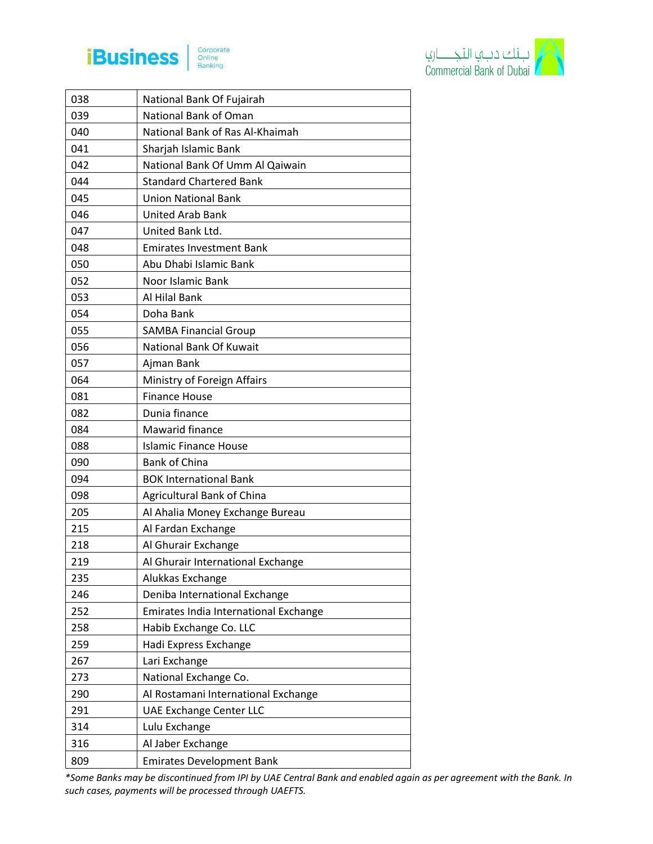

 $\mathsf{r}$ 





| 038 | National Bank Of Fujairah             |
|-----|---------------------------------------|
| 039 | National Bank of Oman                 |
| 040 | National Bank of Ras Al-Khaimah       |
| 041 | Sharjah Islamic Bank                  |
| 042 | National Bank Of Umm Al Qaiwain       |
| 044 | <b>Standard Chartered Bank</b>        |
| 045 | <b>Union National Bank</b>            |
| 046 | <b>United Arab Bank</b>               |
| 047 | United Bank Ltd.                      |
| 048 | <b>Emirates Investment Bank</b>       |
| 050 | Abu Dhabi Islamic Bank                |
| 052 | Noor Islamic Bank                     |
| 053 | Al Hilal Bank                         |
| 054 | Doha Bank                             |
| 055 | <b>SAMBA Financial Group</b>          |
| 056 | National Bank Of Kuwait               |
| 057 | Ajman Bank                            |
| 064 | Ministry of Foreign Affairs           |
| 081 | <b>Finance House</b>                  |
| 082 | Dunia finance                         |
| 084 | Mawarid finance                       |
| 088 | <b>Islamic Finance House</b>          |
| 090 | Bank of China                         |
| 094 | <b>BOK International Bank</b>         |
| 098 | Agricultural Bank of China            |
| 205 | Al Ahalia Money Exchange Bureau       |
| 215 | Al Fardan Exchange                    |
| 218 | Al Ghurair Exchange                   |
| 219 | Al Ghurair International Exchange     |
| 235 | Alukkas Exchange                      |
| 246 | Deniba International Exchange         |
| 252 | Emirates India International Exchange |
| 258 | Habib Exchange Co. LLC                |
| 259 | Hadi Express Exchange                 |
| 267 | Lari Exchange                         |
| 273 | National Exchange Co.                 |
| 290 | Al Rostamani International Exchange   |
| 291 | <b>UAE Exchange Center LLC</b>        |
| 314 | Lulu Exchange                         |
| 316 | Al Jaber Exchange                     |
| 809 | <b>Emirates Development Bank</b>      |

*\*Some Banks may be discontinued from IPI by UAE Central Bank and enabled again as per agreement with the Bank. In such cases, payments will be processed through UAEFTS.*